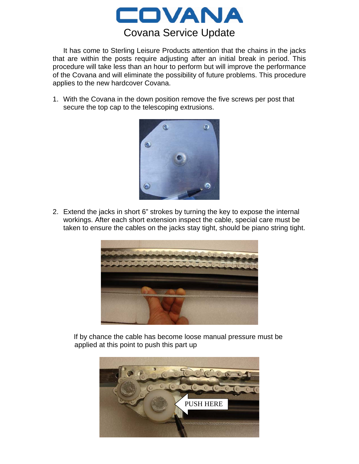

It has come to Sterling Leisure Products attention that the chains in the jacks that are within the posts require adjusting after an initial break in period. This procedure will take less than an hour to perform but will improve the performance of the Covana and will eliminate the possibility of future problems. This procedure applies to the new hardcover Covana.

1. With the Covana in the down position remove the five screws per post that secure the top cap to the telescoping extrusions.



2. Extend the jacks in short 6" strokes by turning the key to expose the internal workings. After each short extension inspect the cable, special care must be taken to ensure the cables on the jacks stay tight, should be piano string tight.



If by chance the cable has become loose manual pressure must be applied at this point to push this part up